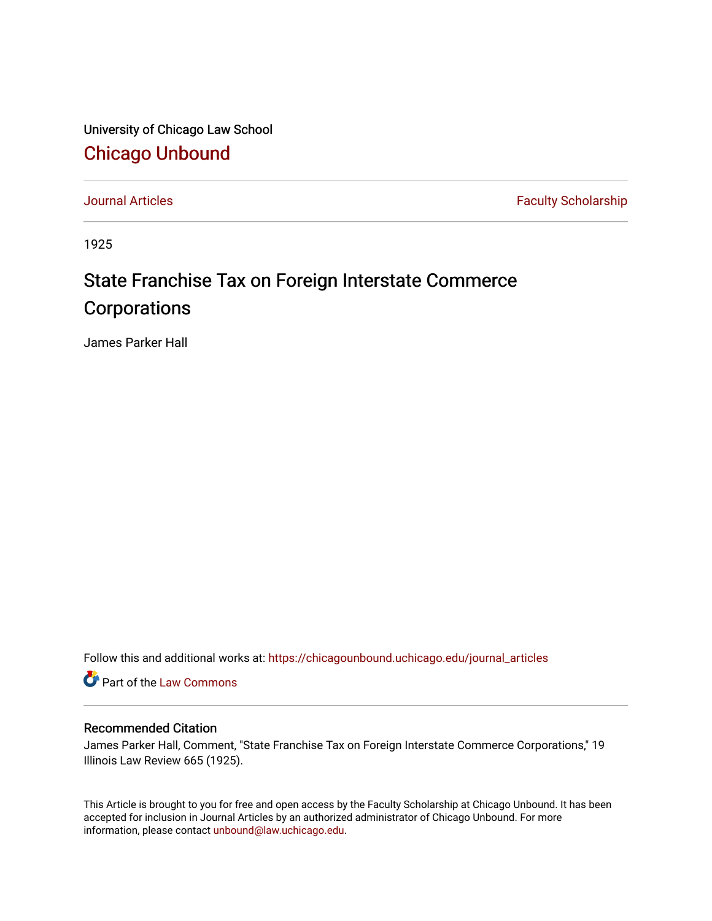University of Chicago Law School [Chicago Unbound](https://chicagounbound.uchicago.edu/)

[Journal Articles](https://chicagounbound.uchicago.edu/journal_articles) **Faculty Scholarship Faculty Scholarship** 

1925

## State Franchise Tax on Foreign Interstate Commerce **Corporations**

James Parker Hall

Follow this and additional works at: [https://chicagounbound.uchicago.edu/journal\\_articles](https://chicagounbound.uchicago.edu/journal_articles?utm_source=chicagounbound.uchicago.edu%2Fjournal_articles%2F9396&utm_medium=PDF&utm_campaign=PDFCoverPages) 

Part of the [Law Commons](http://network.bepress.com/hgg/discipline/578?utm_source=chicagounbound.uchicago.edu%2Fjournal_articles%2F9396&utm_medium=PDF&utm_campaign=PDFCoverPages)

## Recommended Citation

James Parker Hall, Comment, "State Franchise Tax on Foreign Interstate Commerce Corporations," 19 Illinois Law Review 665 (1925).

This Article is brought to you for free and open access by the Faculty Scholarship at Chicago Unbound. It has been accepted for inclusion in Journal Articles by an authorized administrator of Chicago Unbound. For more information, please contact [unbound@law.uchicago.edu](mailto:unbound@law.uchicago.edu).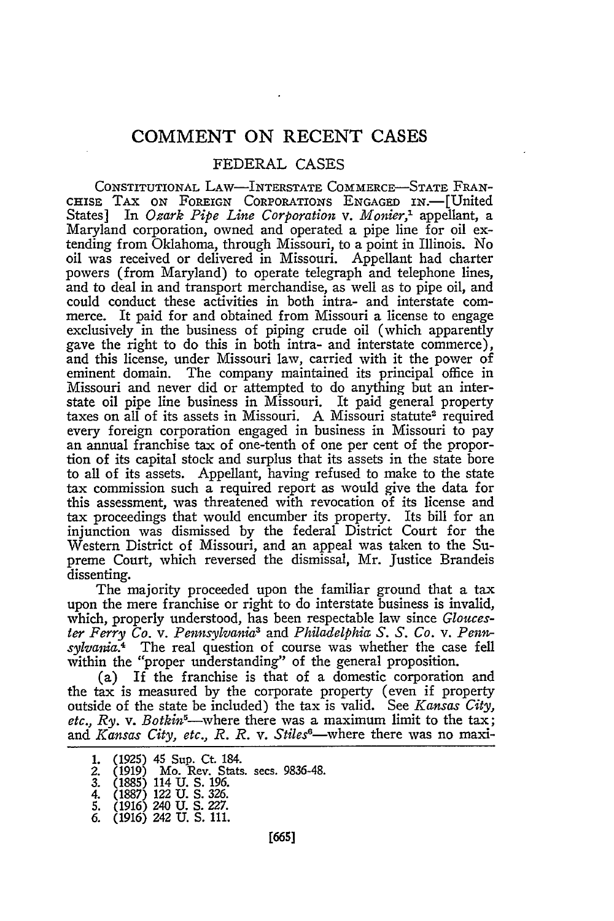## **COMMENT ON RECENT CASES**

## FEDERAL CASES

CONSTITUTIONAL LAW-INTERSTATE COMMERCE-STATE FRAN-CHISE TAX ON FOREIGN CORPORATIONS ENGAGED IN.-[United States] In *Ozark Pipe Line Corporation v. Monier,'* appellant, a Maryland corporation, owned and operated a pipe line for oil extending from Oklahoma, through Missouri, to a point in Illinois. No oil was received or delivered in Missouri. Appellant had charter powers (from Maryland) to operate telegraph and telephone lines, and to deal in and transport merchandise, as well as to pipe oil, and could conduct these activities in both intra- and interstate commerce. It paid for and obtained from Missouri a license to engage exclusively in the business of piping crude oil (which apparently gave the right to do this in both intra- and interstate commerce), and this license, under Missouri law, carried with it the power of eminent domain. The company maintained its principal office in Missouri and never did or attempted to do anything but an interstate oil pipe line business in Missouri. It paid general property taxes on all of its assets in Missouri. A Missouri statute<sup>2</sup> required every foreign corporation engaged in business in Missouri to pay an annual franchise tax of one-tenth of one per cent of the proportion of its capital stock and surplus that its assets in the state bore to all of its assets. Appellant, having refused to make to the state tax commission such a required report as would give the data for this assessment, was threatened with revocation of its license and tax proceedings that would encumber its property. Its bill for an injunction was dismissed **by** the federal District Court for the Western District of Missouri, and an appeal was taken to the Supreme Court, which reversed the dismissal, Mr. Justice Brandeis dissenting.

The majority proceeded upon the familiar ground that a tax upon the mere franchise or right to do interstate business is invalid, which, properly understood, has been respectable law since *Gloucester Ferry Co. v. Pennsylvania*<sup>3</sup> and *Philadelphia S. S. Co. v. Pennsylvania.4* The real question of course was whether the case fell within the "proper understanding" of the general proposition.

(a) If the franchise is that of a domestic corporation and the tax is measured **by** the corporate property (even if property outside of the state be included) the tax is valid. See *Kansas City, etc., Ry.* v. *Botkin5-where* there was a maximum limit to the tax; and *Kansas City, etc., R. R. v. Stiles<sup>6</sup>*—where there was no maxi-

<sup>1. (1925) 45</sup> Sup. Ct. 184.<br>2. (1919) Mo. Rev. Stats<br>3. (1885) 114 U. S. 196.<br>4. (1887) 122 U. S. 326. 2. (1919) Mo. Rev. Stats. secs. 9836-48.

<sup>3. (1885) 114</sup> U. S. 196.

<sup>4. (1887) 122</sup> U. **S.** 326.

<sup>5. (1916) 240</sup> U. S. 227.

**<sup>6.</sup>** (1916) 242 U. S. 111.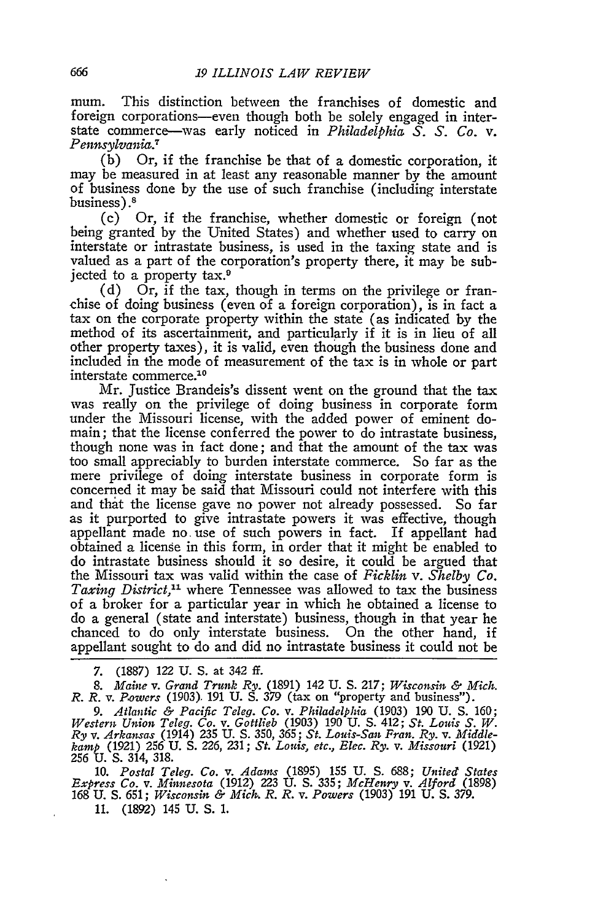mum. This distinction between the franchises of domestic and foreign corporations-even though both be solely engaged in interstate commerce-was early noticed in *Philadelphia S. S. Co. v. Pennsylvania.7*

(b) Or, if the franchise be that of a domestic corporation, it may be measured in at least any reasonable manner **by** the amount of business done **by** the use of such franchise (including interstate business) **."**

(c) Or, if the franchise, whether domestic or foreign (not being granted **by** the United States) and whether used to carry on interstate or intrastate business, is used in the taxing state and is valued as a part of the corporation's property there, it may be subjected to a property tax.<sup>9</sup>

(d) Or, if the tax, though in terms on the privilege or franchise of doing business (even of a foreign corporation), is in fact a tax on the corporate property within the state (as indicated by the method of its ascertainment, and particularly if it is in lieu of all other property taxes), it is valid, even though the business done and included in the mode of measurement of the tax is in whole or part interstate commerce.<sup>10</sup>

Mr. Justice Brandeis's dissent went on the ground that the tax was really on the privilege of doing business in corporate form under the Missouri license, with the added power of eminent domain; that the license conferred the power to do intrastate business, though none was in fact done; and that the amount of the tax was too small appreciably to burden interstate commerce. So far as the mere privilege of doing interstate business in corporate form is concerned it may be said that Missouri could not interfere with this and that the license gave no power not already possessed. So far as it purported to give intrastate powers it was effective, though appellant made no use of such powers in fact. If appellant had obtained a license in this form, in order that it might be enabled to do intrastate business should it so desire, it could be argued that the Missouri tax was valid within the case of *Ficklin v. Shelby Co. Taxing District,"'* where Tennessee was allowed to tax the business of a broker for a particular year in which he obtained a license to do a general (state and interstate) business, though in that year he chanced to do only interstate business. On the other hand, if appellant sought to do and did no intrastate business it could not be

**7.** (1887) 122 U. **S.** at 342 *if.*

*8. Maine v. Grand Trunk Ry.* (1891) 142 **U. S. 217;** *Wisconsin & Mich. R. R. v. Powers* (1903). 191 U. S. *379* (tax on "property and business").

*9. Atlantic & Pacific Teleg. Co. v. Philadelphia* (1903) 190 **U.** S. 160; *Western Union Teleg. Co. v. Gottlieb* (1903) 190 U. S. 412; *St. Louis S. W. Ry v. Arkansas* (1914) 235 U. S. 350, 365; *St. Louis-San Fran. Ry. v. Middlekamp* (1921) 256 U. S. 226, 231; *St. Louis, etc., Elec. Ry. v. Missouri* (1921) **256** U. S. 314, 318.

10. *Postal Teleg. Co. v. Adams* (1895) 155 U. S. 688; *United States Express Co. v. Minnesota* (1912) 223 U. S. 335; *McHenry v. Alford* (1898) 168 U. S. 651; *Wisconsin & Mic. R. R. v. Powers* (1903) 191 U. **S.** 379.

11. (1892) 145 U. S. 1.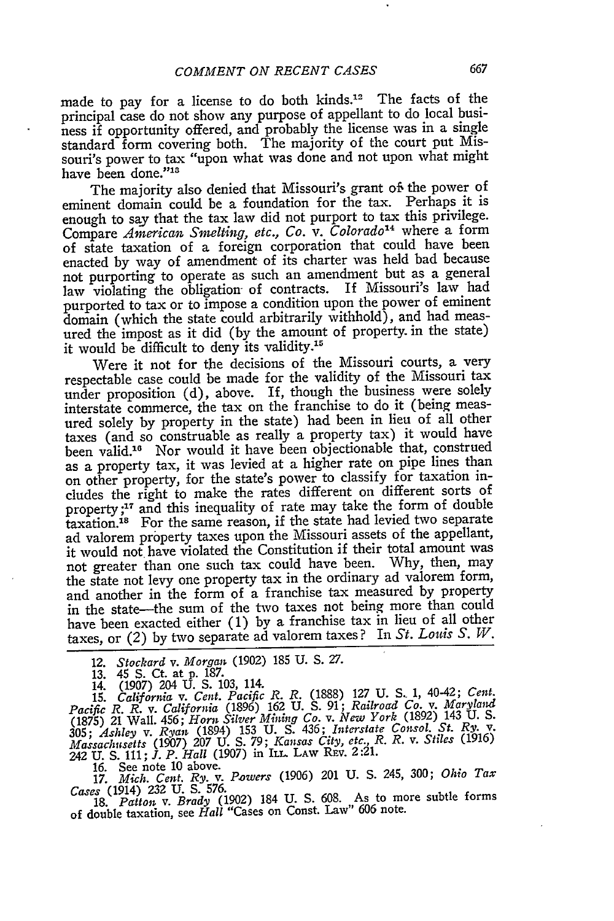made to pay for a license to do both kinds.<sup>12</sup> The facts of the principal case do not show any purpose of appellant to do local business if opportunity offered, and probably the license was in a single standard form covering both. The majority of the court put Missouri's power to tax "upon what was done and not upon what might have been done."<sup>13</sup>

The majority also denied that Missouri's grant of, the power of eminent domain could be a foundation for the tax. Perhaps it is enough to say that the tax law did not purport to tax this privilege. Compare *American Smelting, etc., Co. v. Colorado'4* where a form of state taxation of a foreign corporation that could have been enacted by way of amendment of its charter was held bad because not purporting to operate as such an amendment but as a general law violating the obligation of contracts. If Missouri's law had purported to tax or to impose a condition upon the power of eminent domain (which the state could arbitrarily withhold), and had measured the impost as it did (by the amount of property. in the state) it would be difficult to deny its validity.<sup>15</sup>

Were it not for the decisions of the Missouri courts, a very respectable case could be made for the validity of the Missouri tax under proposition (d), above. If, though the business were solely interstate commerce, the tax on the franchise to do it (being measured solely by property in the state) had been in lieu of all other taxes (and so construable as really a property tax) it would have been valid.<sup>16</sup> Nor would it have been objectionable that, construed as a property tax, it was levied at a higher rate on pipe lines than on other property, for the state's power to classify for taxation includes the right to make the rates different on different sorts of property **;17** and this inequality of rate may take the form of double taxation.'8 For the same reason, if the state had levied two separate ad valorem property taxes upon the Missouri assets of the appellant, it would not have violated the Constitution if their total amount was not greater than one such tax could have been. Why, then, may the state not levy one property tax in the ordinary ad valorem form, and another in the form of a franchise tax measured by property in the state-the sum of the two taxes not being more than could have been exacted either (1) by a franchise tax in lieu of all other taxes, or (2) by two separate ad valorem taxes? In *St. Louis S. W.*

12. *Stockard v. Morgan* (1902) 185 U. S. 27.

13. 45 S. Ct. at p. 187. 14. (1907) 204 U. S. 103, 114.

15. California v. Cent. Pacific R. R. (1888) 127 U. S. 1, 40-42; Cent.<br>Pacific R. R. v. California (1896) 162 U. S. 91; Railroad Co. v. Maryland<br>(1875) 21 Wall. 456; Horn Silver Mining Co. v. New York (1892) 143 U. S.<br>305; Massachusetts (1907) 207 U.S. 79; Kansas City, etc., R. R. v. Stiles (1916)<br>Massachusetts (1907) 207 U.S. 79; Kansas City, etc., R. R. v. Stiles (1916)<br>242 U.S. 111; J. P. Hall (1907) in ILL. LAW REV. 2:21.<br>16. See note 10

*Cases* (1914) 232 U. **S.** 576. 18. *Patton v. Brady* (1902) 184 U. **S.** 608. As to more subtle forms of double taxation, see *Hall* "Cases on Const. Law" 606 note.